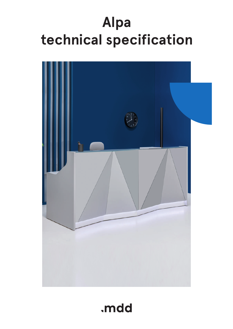# **Alpa technical specification**



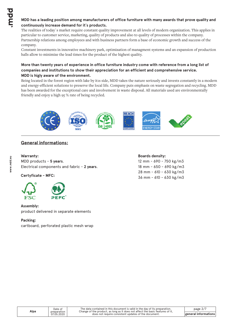#### **MDD has a leading position among manufacturers of office furniture with many awards that prove quality and continuously increase demand for it`s products.**

The realities of today`s market require constant quality improvement at all levels of modern organization. This applies in particular to customer service, marketing, quality of products and also to quality of processes within the company. Partnership relations among employees and with business partners form a base of economic growth and success of the company.

Constant investments in innovative machinery park, optimization of managment systems and an expansion of production halls allow to minimize the lead times for the product of the highest quality.

#### **More than twenty years of experience in office furniture industry come with reference from a long list of companies and institutions to show their appreciation for an efficient and comprehensive service. MDD is higly aware of the environment.**

Being located in the forest region with lake by it1s side, MDD takes the nature seriously and invests constantly in a modern and energy-efficient solutions to preserve the local life. Company puts emphasis on waste segregation and recycling. MDD has been awarded for the exceptional care and involvement in waste disposal. All materials used are environmentally friendly and enjoy a high 95 % rate of being recycled.



# **General informations:**

# **Warranty :**

MDD products - **5 years**. Electrical components and fabric - **2 years**.

**Certyficate - MFC:**



# **Assembly:**

product delivered in separate elements

# **Packing:**

cartboard, perforated plastic mesh wrap

#### **Boards density:**

12 mm - 690 - 750 kg/m3 18 mm - 650 - 690 kg/m3 28 mm - 610 - 630 kg/m3 36 mm - 610 - 630 kg/m3

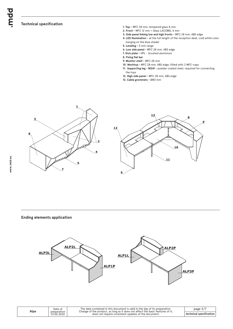## **Technical specification**

- **1. Top** MFC 28 mm, tempered glass 8 mm
- **2. Front -** MFC 12 mm + Glass LACOBEL 4 mm
- **3. Side panel linking low and high fronts** MFC 28 mm, ABS edge
- **4. LED illumination -** at the full length of the reception desk, cold white color (verging on the blue shade)
- **5. Leveling** 5 mm range
- **6. Low side panel** MFC 28 mm, ABS edge
- **7. Kick plate** HPL brushed aluminium
- **8. Fixing flat bar**
- **9. Monitor shelf** MFC 28 mm
- **10. Worktop** MFC 28 mm, ABS edge, fitted with 2 MFC-caps
- **11. Supporting leg NG41** powder coated steel, required for connecting the tops
- **12. High side panel** MFC 28 mm, ABS edge
- **13. Cable grommets** Ø80 mm



#### **Ending elements application**



| Alpa | Date of<br>preparation<br>07.05.2020 | The data contained in this document is valid in the day of its preparation.<br>Change of the product, as long as it does not affect the basic features of it.<br>does not require consistent updates of the document. | page $3/$ .             |
|------|--------------------------------------|-----------------------------------------------------------------------------------------------------------------------------------------------------------------------------------------------------------------------|-------------------------|
|      |                                      |                                                                                                                                                                                                                       | technical specification |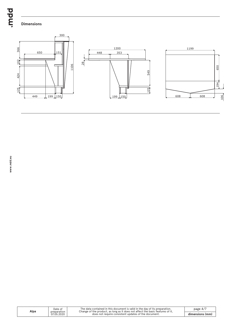bpur.

# **Dimensions**



| Alpa | Date of                   | The data contained in this document is valid in the day of its preparation.<br>Change of the product, as long as it does not affect the basic features of it. | page $4/7$      |
|------|---------------------------|---------------------------------------------------------------------------------------------------------------------------------------------------------------|-----------------|
|      | preparation<br>07.05.2020 | does not require consistent updates of the document.                                                                                                          | dimensions (mm) |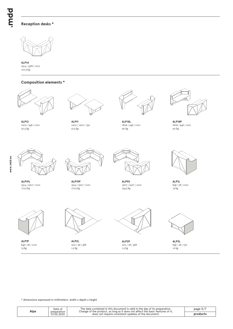# **Reception desks \***



2514 / 1568 / 1100 **ALP14** 210.5 kg

#### **Composition elements \***



1200 / 946 / 1100 **ALP12** 50.5 kg



**ALP11** 1200 / 1200 / 740 57.5 kg 90 kg 90 kg 90 kg 90 kg 90 kg 90 kg 90 kg 90 kg 90 kg 90 kg 90 kg 90 kg 90 kg 90 kg 90 kg 90 kg 90 kg



**ALP18L** 1806 / 946 / 1100



**ALP18P** 1806 / 946 / 1100



2514 / 1907 / 1100 **ALP19L** 172.5 kg



**ALP19P** 2514 / 1907 / 1100 172.5 kg 134.5 kg 134.5 kg 134.5 kg 134.5 kg 134.5 kg 134.5 kg 134.5 kg 134.5 kg 134.5 kg 134.5 kg 135.6 kg 13



**ALP90** 1907 / 1907 / 1100



**ALP1L** 846 / 28 / 1100



846 / 28 / 1100 **ALP1P** 13 kg



**ALP2L** 200 / 28 / 368 1.5 kg 12 kg 12 kg 12 kg 12 kg 12 kg 12 kg 12 kg 12 kg 12 kg 12 kg 12 kg 12 kg 12 kg 12 kg 12 kg 12 kg 12 kg 1



**ALP2P** 200 / 28 / 368



**ALP3L** 846 / 28 / 730<br>12 kg

\* dimensions expressed in millimeters: width x depth x height

| Alpa | Date of<br>preparation<br>07.05.2020 | The data contained in this document is valid in the day of its preparation.<br>Change of the product, as long as it does not affect the basic features of it,<br>does not require consistent updates of the document. | page $5/$ |
|------|--------------------------------------|-----------------------------------------------------------------------------------------------------------------------------------------------------------------------------------------------------------------------|-----------|
|      |                                      |                                                                                                                                                                                                                       | product:  |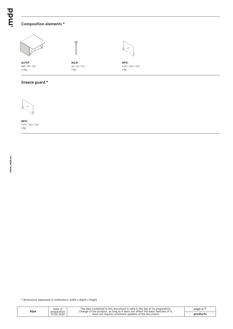# **Composition elements \***



 $P$ 

**NG41** 40 / 40 / 712 2 kg



**NPX1** 1000 / 250 / 750 3 kg

#### **Sneeze guard \***



846 / 28 / 730 **ALP3P** 12 kg

**NPX1** 1000 / 250 / 750 3 kg

\* dimensions expressed in millimeters: width x depth x height

| Alpa | Date of<br>preparation<br>07.05.2020 | The data contained in this document is valid in the day of its preparation.<br>Change of the product, as long as it does not affect the basic features of it.<br>does not require consistent updates of the document. | page $6/$ |
|------|--------------------------------------|-----------------------------------------------------------------------------------------------------------------------------------------------------------------------------------------------------------------------|-----------|
|      |                                      |                                                                                                                                                                                                                       | products  |